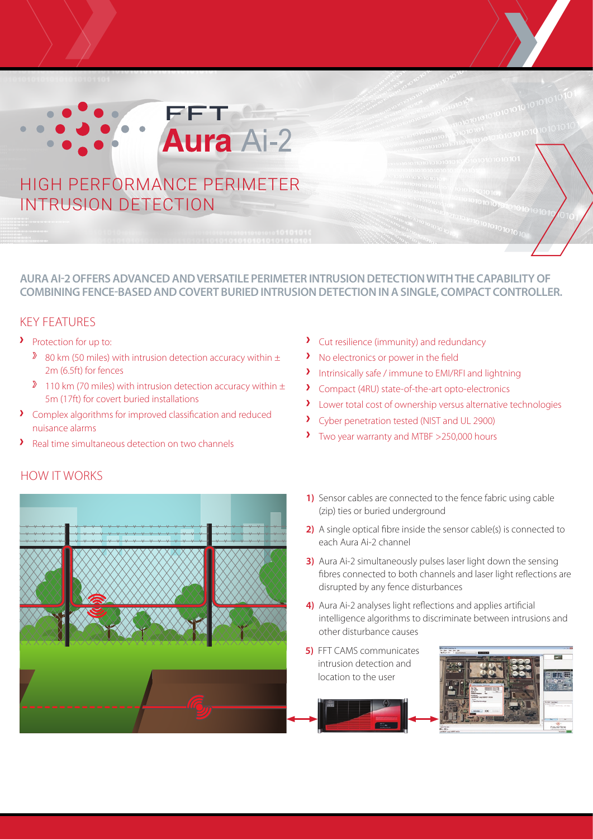# **FFTAGE Aura Ai-2** HIGH PERFORMANCE PERIMETER

INTRUSION DETECTION

**AURA AI-2 OFFERS ADVANCED AND VERSATILE PERIMETER INTRUSION DETECTION WITH THE CAPABILITY OF COMBINING FENCE-BASED AND COVERT BURIED INTRUSION DETECTION IN A SINGLE, COMPACT CONTROLLER.**

#### KEY FEATURES

- **Protection for up to:** 
	- 80 km (50 miles) with intrusion detection accuracy within  $\pm$ 2m (6.5ft) for fences
	- <sup>2</sup> 110 km (70 miles) with intrusion detection accuracy within  $\pm$ 5m (17ft) for covert buried installations
- Complex algorithms for improved classification and reduced nuisance alarms
- Real time simultaneous detection on two channels
- 



- Cut resilience (immunity) and redundancy
- > No electronics or power in the field
- Intrinsically safe / immune to EMI/RFI and lightning
- Compact (4RU) state-of-the-art opto-electronics
- > Lower total cost of ownership versus alternative technologies
- $\lambda$ Cyber penetration tested (NIST and UL 2900)
- $\lambda$ Two year warranty and MTBF >250,000 hours
- **1)** Sensor cables are connected to the fence fabric using cable (zip) ties or buried underground
- **2)** A single optical fibre inside the sensor cable(s) is connected to each Aura Ai-2 channel
- **3)** Aura Ai-2 simultaneously pulses laser light down the sensing fibres connected to both channels and laser light reflections are disrupted by any fence disturbances
- **4)** Aura Ai-2 analyses light reflections and applies artificial intelligence algorithms to discriminate between intrusions and other disturbance causes
- **5)** FFT CAMS communicates intrusion detection and location to the user